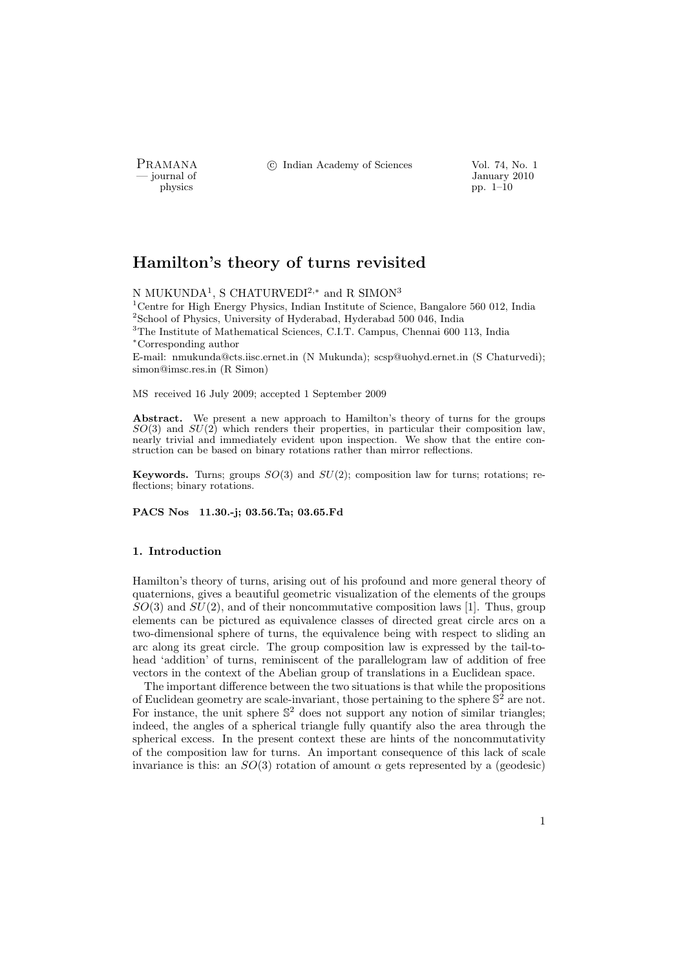PRAMANA <sup>©</sup>© Indian Academy of Sciences Vol. 74, No. 1<br>
— journal of Lanuary 2010

physics and the set of the set of the set of the set of the set of the set of the set of the set of the set of the set of the set of the set of the set of the set of the set of the set of the set of the set of the set of t pp.  $1–10$ 

# Hamilton's theory of turns revisited

N MUKUNDA<sup>1</sup>, S CHATURVEDI<sup>2,\*</sup> and R SIMON<sup>3</sup>

Centre for High Energy Physics, Indian Institute of Science, Bangalore 560 012, India School of Physics, University of Hyderabad, Hyderabad 500 046, India The Institute of Mathematical Sciences, C.I.T. Campus, Chennai 600 113, India <sup>∗</sup>Corresponding author

E-mail: nmukunda@cts.iisc.ernet.in (N Mukunda); scsp@uohyd.ernet.in (S Chaturvedi); simon@imsc.res.in (R Simon)

MS received 16 July 2009; accepted 1 September 2009

Abstract. We present a new approach to Hamilton's theory of turns for the groups  $SO(3)$  and  $SU(2)$  which renders their properties, in particular their composition law, nearly trivial and immediately evident upon inspection. We show that the entire construction can be based on binary rotations rather than mirror reflections.

**Keywords.** Turns; groups  $SO(3)$  and  $SU(2)$ ; composition law for turns; rotations; reflections; binary rotations.

PACS Nos 11.30.-j; 03.56.Ta; 03.65.Fd

## 1. Introduction

Hamilton's theory of turns, arising out of his profound and more general theory of quaternions, gives a beautiful geometric visualization of the elements of the groups  $SO(3)$  and  $SU(2)$ , and of their noncommutative composition laws [1]. Thus, group elements can be pictured as equivalence classes of directed great circle arcs on a two-dimensional sphere of turns, the equivalence being with respect to sliding an arc along its great circle. The group composition law is expressed by the tail-tohead 'addition' of turns, reminiscent of the parallelogram law of addition of free vectors in the context of the Abelian group of translations in a Euclidean space.

The important difference between the two situations is that while the propositions of Euclidean geometry are scale-invariant, those pertaining to the sphere  $\mathbb{S}^2$  are not. For instance, the unit sphere  $\mathbb{S}^2$  does not support any notion of similar triangles; indeed, the angles of a spherical triangle fully quantify also the area through the spherical excess. In the present context these are hints of the noncommutativity of the composition law for turns. An important consequence of this lack of scale invariance is this: an  $SO(3)$  rotation of amount  $\alpha$  gets represented by a (geodesic)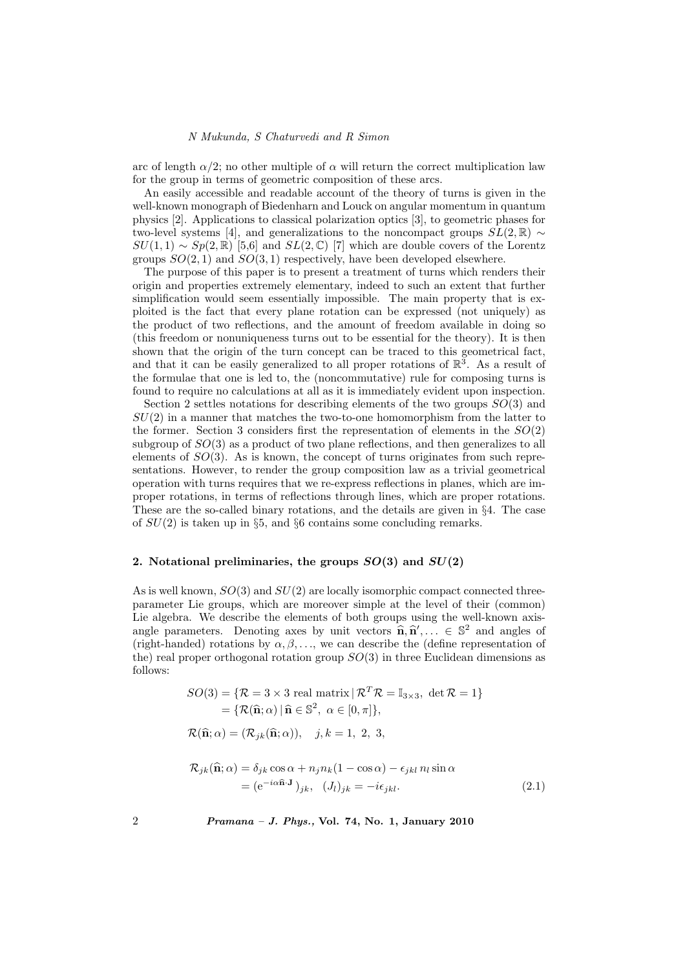arc of length  $\alpha/2$ ; no other multiple of  $\alpha$  will return the correct multiplication law for the group in terms of geometric composition of these arcs.

An easily accessible and readable account of the theory of turns is given in the well-known monograph of Biedenharn and Louck on angular momentum in quantum physics [2]. Applications to classical polarization optics [3], to geometric phases for two-level systems [4], and generalizations to the noncompact groups  $SL(2,\mathbb{R}) \sim$  $SU(1,1) \sim Sp(2,\mathbb{R})$  [5,6] and  $SL(2,\mathbb{C})$  [7] which are double covers of the Lorentz groups  $SO(2,1)$  and  $SO(3,1)$  respectively, have been developed elsewhere.

The purpose of this paper is to present a treatment of turns which renders their origin and properties extremely elementary, indeed to such an extent that further simplification would seem essentially impossible. The main property that is exploited is the fact that every plane rotation can be expressed (not uniquely) as the product of two reflections, and the amount of freedom available in doing so (this freedom or nonuniqueness turns out to be essential for the theory). It is then shown that the origin of the turn concept can be traced to this geometrical fact, and that it can be easily generalized to all proper rotations of  $\mathbb{R}^3$ . As a result of the formulae that one is led to, the (noncommutative) rule for composing turns is found to require no calculations at all as it is immediately evident upon inspection.

Section 2 settles notations for describing elements of the two groups SO(3) and  $SU(2)$  in a manner that matches the two-to-one homomorphism from the latter to the former. Section 3 considers first the representation of elements in the  $SO(2)$ subgroup of  $SO(3)$  as a product of two plane reflections, and then generalizes to all elements of  $SO(3)$ . As is known, the concept of turns originates from such representations. However, to render the group composition law as a trivial geometrical operation with turns requires that we re-express reflections in planes, which are improper rotations, in terms of reflections through lines, which are proper rotations. These are the so-called binary rotations, and the details are given in §4. The case of  $SU(2)$  is taken up in §5, and §6 contains some concluding remarks.

## 2. Notational preliminaries, the groups  $SO(3)$  and  $SU(2)$

As is well known,  $SO(3)$  and  $SU(2)$  are locally isomorphic compact connected threeparameter Lie groups, which are moreover simple at the level of their (common) Lie algebra. We describe the elements of both groups using the well-known axisangle parameters. Denoting axes by unit vectors  $\hat{\mathbf{n}}, \hat{\mathbf{n}}', \dots \in \mathbb{S}^2$  and angles of (right-handed) rotations by  $\alpha, \beta, \ldots$ , we can describe the (define representation of the) real proper orthogonal rotation group  $SO(3)$  in three Euclidean dimensions as follows:

$$
SO(3) = \{ \mathcal{R} = 3 \times 3 \text{ real matrix } | \mathcal{R}^T \mathcal{R} = \mathbb{I}_{3 \times 3}, \text{ det } \mathcal{R} = 1 \}
$$
  
=  $\{ \mathcal{R}(\hat{\mathbf{n}}; \alpha) | \hat{\mathbf{n}} \in \mathbb{S}^2, \alpha \in [0, \pi] \},$   
 $\mathcal{R}(\hat{\mathbf{n}}; \alpha) = (\mathcal{R}_{jk}(\hat{\mathbf{n}}; \alpha)), \quad j, k = 1, 2, 3,$ 

$$
\mathcal{R}_{jk}(\hat{\mathbf{n}};\alpha) = \delta_{jk}\cos\alpha + n_j n_k (1 - \cos\alpha) - \epsilon_{jkl} n_l \sin\alpha
$$
  
=  $(e^{-i\alpha \hat{\mathbf{n}} \cdot \mathbf{J}})_{jk}, (J_l)_{jk} = -i\epsilon_{jkl}.$  (2.1)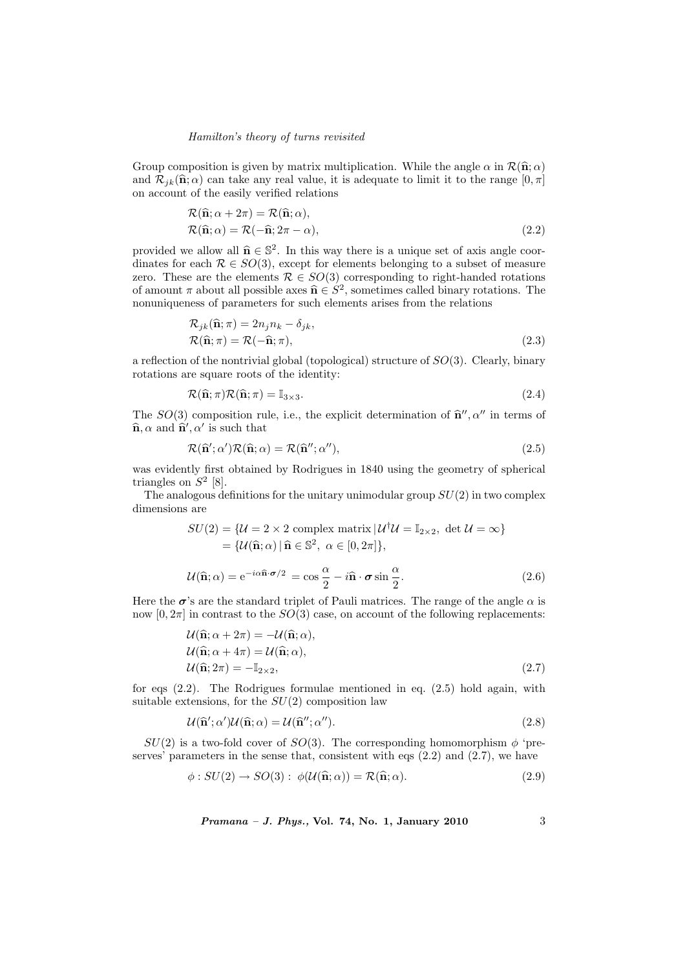Group composition is given by matrix multiplication. While the angle  $\alpha$  in  $\mathcal{R}(\hat{\mathbf{n}}; \alpha)$ and  $\mathcal{R}_{ik}(\hat{\mathbf{n}}; \alpha)$  can take any real value, it is adequate to limit it to the range  $[0, \pi]$ on account of the easily verified relations

$$
\mathcal{R}(\hat{\mathbf{n}}; \alpha + 2\pi) = \mathcal{R}(\hat{\mathbf{n}}; \alpha), \n\mathcal{R}(\hat{\mathbf{n}}; \alpha) = \mathcal{R}(-\hat{\mathbf{n}}; 2\pi - \alpha),
$$
\n(2.2)

provided we allow all  $\hat{\mathbf{n}} \in \mathbb{S}^2$ . In this way there is a unique set of axis angle coordinates for each  $\mathcal{R} \in SO(3)$ , except for elements belonging to a subset of measure zero. These are the elements  $\mathcal{R} \in SO(3)$  corresponding to right-handed rotations of amount  $\pi$  about all possible axes  $\hat{\mathbf{n}} \in \mathcal{S}^2$ , sometimes called binary rotations. The nonuniqueness of parameters for such elements arises from the relations

$$
\mathcal{R}_{jk}(\hat{\mathbf{n}};\pi) = 2n_j n_k - \delta_{jk},
$$
  
\n
$$
\mathcal{R}(\hat{\mathbf{n}};\pi) = \mathcal{R}(-\hat{\mathbf{n}};\pi),
$$
\n(2.3)

a reflection of the nontrivial global (topological) structure of  $SO(3)$ . Clearly, binary rotations are square roots of the identity:

$$
\mathcal{R}(\hat{\mathbf{n}};\pi)\mathcal{R}(\hat{\mathbf{n}};\pi) = \mathbb{I}_{3\times 3}.\tag{2.4}
$$

The  $SO(3)$  composition rule, i.e., the explicit determination of  $\hat{\mathbf{n}}''$ ,  $\alpha''$  in terms of  $\hat{\mathbf{n}}, \alpha$  and  $\hat{\mathbf{n}}', \alpha'$  is such that

$$
\mathcal{R}(\hat{\mathbf{n}}';\alpha')\mathcal{R}(\hat{\mathbf{n}};\alpha) = \mathcal{R}(\hat{\mathbf{n}}'';\alpha''),\tag{2.5}
$$

was evidently first obtained by Rodrigues in 1840 using the geometry of spherical triangles on  $S^2$  [8].

The analogous definitions for the unitary unimodular group  $SU(2)$  in two complex dimensions are

$$
SU(2) = \{ \mathcal{U} = 2 \times 2 \text{ complex matrix } | \mathcal{U}^{\dagger} \mathcal{U} = \mathbb{I}_{2 \times 2}, \text{ det } \mathcal{U} = \infty \}
$$
  
=  $\{ \mathcal{U}(\hat{\mathbf{n}}; \alpha) | \hat{\mathbf{n}} \in \mathbb{S}^2, \alpha \in [0, 2\pi] \},$ 

$$
\mathcal{U}(\hat{\mathbf{n}};\alpha) = e^{-i\alpha \hat{\mathbf{n}} \cdot \boldsymbol{\sigma}/2} = \cos \frac{\alpha}{2} - i\hat{\mathbf{n}} \cdot \boldsymbol{\sigma} \sin \frac{\alpha}{2}.
$$
 (2.6)

Here the  $\sigma$ 's are the standard triplet of Pauli matrices. The range of the angle  $\alpha$  is now  $[0, 2\pi]$  in contrast to the  $SO(3)$  case, on account of the following replacements:

$$
\mathcal{U}(\hat{\mathbf{n}}; \alpha + 2\pi) = -\mathcal{U}(\hat{\mathbf{n}}; \alpha), \mathcal{U}(\hat{\mathbf{n}}; \alpha + 4\pi) = \mathcal{U}(\hat{\mathbf{n}}; \alpha), \mathcal{U}(\hat{\mathbf{n}}; 2\pi) = -\mathbb{I}_{2 \times 2},
$$
\n(2.7)

for eqs  $(2.2)$ . The Rodrigues formulae mentioned in eq.  $(2.5)$  hold again, with suitable extensions, for the  $SU(2)$  composition law

$$
\mathcal{U}(\hat{\mathbf{n}}'; \alpha')\mathcal{U}(\hat{\mathbf{n}}; \alpha) = \mathcal{U}(\hat{\mathbf{n}}''; \alpha'').
$$
\n(2.8)

 $SU(2)$  is a two-fold cover of  $SO(3)$ . The corresponding homomorphism  $\phi$  'preserves' parameters in the sense that, consistent with eqs  $(2.2)$  and  $(2.7)$ , we have

$$
\phi: SU(2) \to SO(3): \ \phi(\mathcal{U}(\hat{\mathbf{n}}; \alpha)) = \mathcal{R}(\hat{\mathbf{n}}; \alpha). \tag{2.9}
$$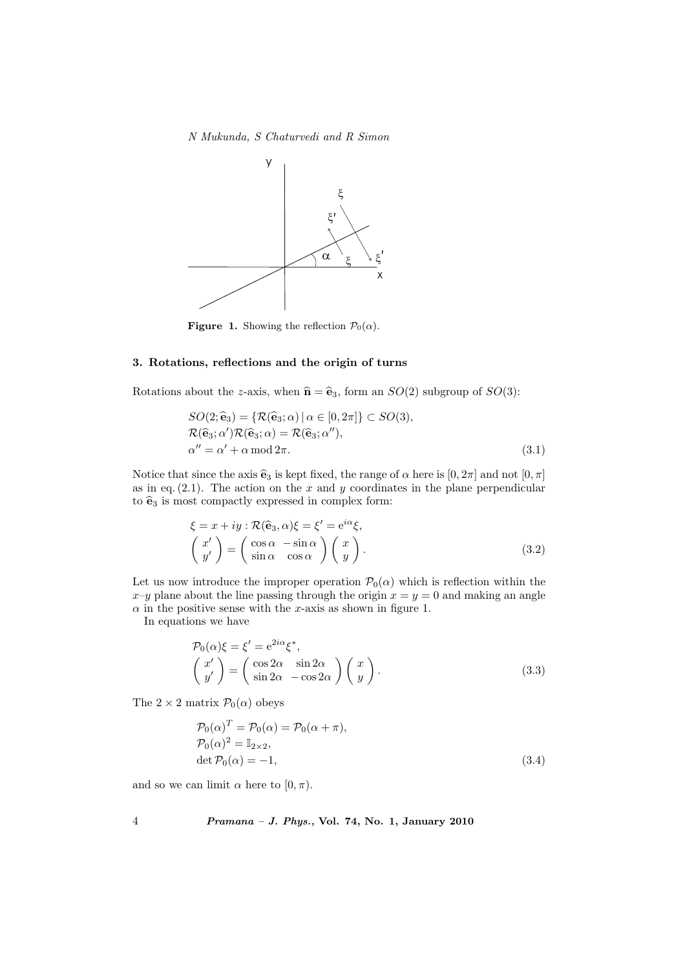

**Figure 1.** Showing the reflection  $\mathcal{P}_0(\alpha)$ .

# 3. Rotations, reflections and the origin of turns

Rotations about the z-axis, when  $\hat{\mathbf{n}} = \hat{\mathbf{e}}_3$ , form an  $SO(2)$  subgroup of  $SO(3)$ :

$$
SO(2; \hat{\mathbf{e}}_3) = \{ \mathcal{R}(\hat{\mathbf{e}}_3; \alpha) \mid \alpha \in [0, 2\pi] \} \subset SO(3),
$$
  

$$
\mathcal{R}(\hat{\mathbf{e}}_3; \alpha') \mathcal{R}(\hat{\mathbf{e}}_3; \alpha) = \mathcal{R}(\hat{\mathbf{e}}_3; \alpha''),
$$
  

$$
\alpha'' = \alpha' + \alpha \mod 2\pi.
$$
 (3.1)

Notice that since the axis  $\hat{\mathbf{e}}_3$  is kept fixed, the range of  $\alpha$  here is  $[0, 2\pi]$  and not  $[0, \pi]$ as in eq.  $(2.1)$ . The action on the x and y coordinates in the plane perpendicular to  $\hat{\mathbf{e}}_3$  is most compactly expressed in complex form:

$$
\xi = x + iy : \mathcal{R}(\hat{\mathbf{e}}_3, \alpha)\xi = \xi' = e^{i\alpha}\xi,
$$
  

$$
\begin{pmatrix} x' \\ y' \end{pmatrix} = \begin{pmatrix} \cos \alpha & -\sin \alpha \\ \sin \alpha & \cos \alpha \end{pmatrix} \begin{pmatrix} x \\ y \end{pmatrix}.
$$
 (3.2)

Let us now introduce the improper operation  $\mathcal{P}_0(\alpha)$  which is reflection within the  $x-y$  plane about the line passing through the origin  $x=y=0$  and making an angle  $\alpha$  in the positive sense with the x-axis as shown in figure 1.

In equations we have

$$
\mathcal{P}_0(\alpha)\xi = \xi' = e^{2i\alpha}\xi^*,
$$
  
\n
$$
\begin{pmatrix} x' \\ y' \end{pmatrix} = \begin{pmatrix} \cos 2\alpha & \sin 2\alpha \\ \sin 2\alpha & -\cos 2\alpha \end{pmatrix} \begin{pmatrix} x \\ y \end{pmatrix}.
$$
 (3.3)

The  $2 \times 2$  matrix  $\mathcal{P}_0(\alpha)$  obeys

$$
\mathcal{P}_0(\alpha)^T = \mathcal{P}_0(\alpha) = \mathcal{P}_0(\alpha + \pi),
$$
  
\n
$$
\mathcal{P}_0(\alpha)^2 = \mathbb{I}_{2 \times 2},
$$
  
\n
$$
\det \mathcal{P}_0(\alpha) = -1,
$$
\n(3.4)

and so we can limit  $\alpha$  here to  $[0, \pi)$ .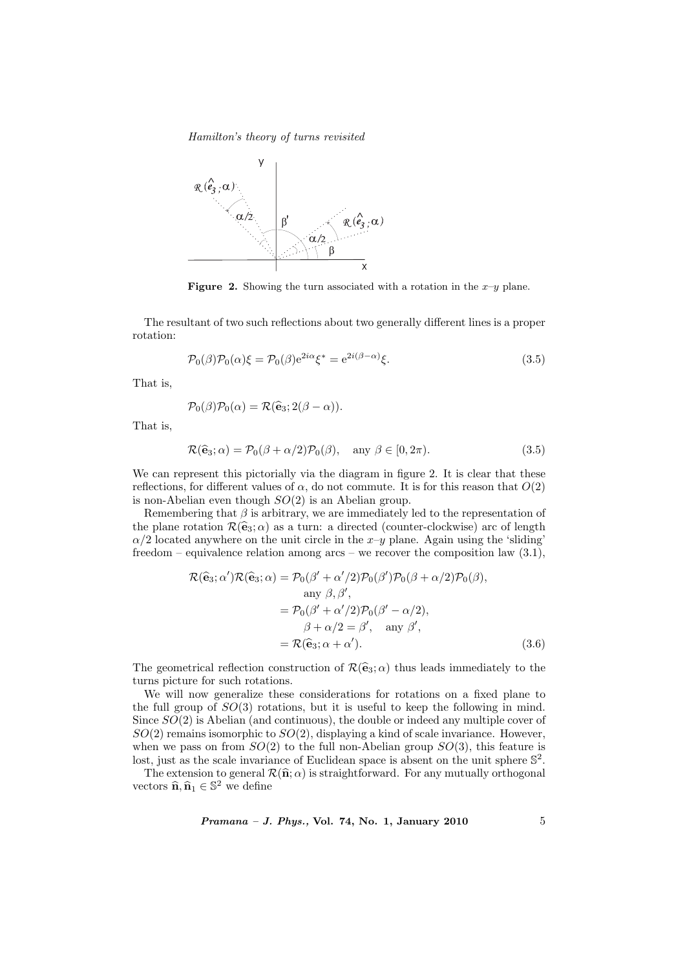

**Figure 2.** Showing the turn associated with a rotation in the  $x-y$  plane.

The resultant of two such reflections about two generally different lines is a proper rotation:

$$
\mathcal{P}_0(\beta)\mathcal{P}_0(\alpha)\xi = \mathcal{P}_0(\beta)e^{2i\alpha}\xi^* = e^{2i(\beta-\alpha)}\xi.
$$
\n(3.5)

That is,

$$
\mathcal{P}_0(\beta)\mathcal{P}_0(\alpha) = \mathcal{R}(\widehat{\mathbf{e}}_3; 2(\beta - \alpha)).
$$

That is,

$$
\mathcal{R}(\hat{\mathbf{e}}_3; \alpha) = \mathcal{P}_0(\beta + \alpha/2)\mathcal{P}_0(\beta), \quad \text{any } \beta \in [0, 2\pi). \tag{3.5}
$$

We can represent this pictorially via the diagram in figure 2. It is clear that these reflections, for different values of  $\alpha$ , do not commute. It is for this reason that  $O(2)$ is non-Abelian even though  $SO(2)$  is an Abelian group.

Remembering that  $\beta$  is arbitrary, we are immediately led to the representation of the plane rotation  $\mathcal{R}(\hat{\mathbf{e}}_3; \alpha)$  as a turn: a directed (counter-clockwise) arc of length  $\alpha/2$  located anywhere on the unit circle in the x–y plane. Again using the 'sliding' freedom – equivalence relation among arcs – we recover the composition law (3.1),

$$
\mathcal{R}(\hat{\mathbf{e}}_3; \alpha')\mathcal{R}(\hat{\mathbf{e}}_3; \alpha) = \mathcal{P}_0(\beta' + \alpha'/2)\mathcal{P}_0(\beta')\mathcal{P}_0(\beta + \alpha/2)\mathcal{P}_0(\beta),
$$
  
\n
$$
\text{any } \beta, \beta',
$$
  
\n
$$
= \mathcal{P}_0(\beta' + \alpha'/2)\mathcal{P}_0(\beta' - \alpha/2),
$$
  
\n
$$
\beta + \alpha/2 = \beta', \text{ any } \beta',
$$
  
\n
$$
= \mathcal{R}(\hat{\mathbf{e}}_3; \alpha + \alpha').
$$
\n(3.6)

The geometrical reflection construction of  $\mathcal{R}(\hat{\mathbf{e}}_3; \alpha)$  thus leads immediately to the turns picture for such rotations.

We will now generalize these considerations for rotations on a fixed plane to the full group of  $SO(3)$  rotations, but it is useful to keep the following in mind. Since  $SO(2)$  is Abelian (and continuous), the double or indeed any multiple cover of  $SO(2)$  remains isomorphic to  $SO(2)$ , displaying a kind of scale invariance. However, when we pass on from  $SO(2)$  to the full non-Abelian group  $SO(3)$ , this feature is lost, just as the scale invariance of Euclidean space is absent on the unit sphere  $\mathbb{S}^2$ .

The extension to general  $\mathcal{R}(\hat{\mathbf{n}}; \alpha)$  is straightforward. For any mutually orthogonal vectors  $\widehat{\mathbf{n}}, \widehat{\mathbf{n}}_1 \in \mathbb{S}^2$  we define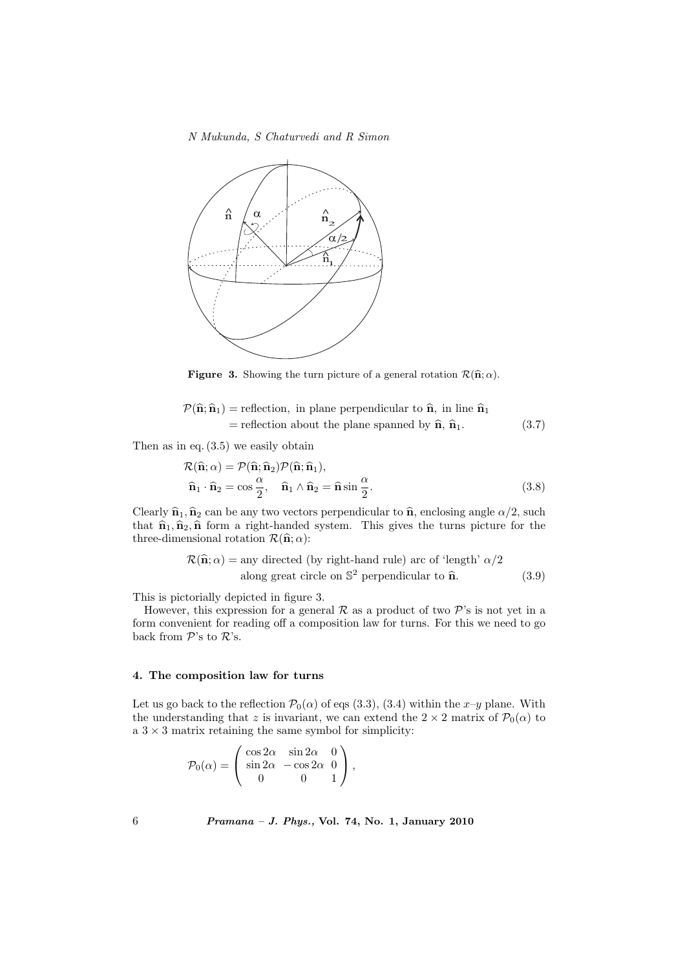

**Figure 3.** Showing the turn picture of a general rotation  $\mathcal{R}(\hat{\mathbf{n}}; \alpha)$ .

$$
\mathcal{P}(\hat{\mathbf{n}}; \hat{\mathbf{n}}_1) = \text{reflection}, \text{ in plane perpendicular to } \hat{\mathbf{n}}, \text{ in line } \hat{\mathbf{n}}_1
$$
  
= reflection about the plane spanned by  $\hat{\mathbf{n}}, \hat{\mathbf{n}}_1$ . (3.7)

Then as in eq. (3.5) we easily obtain

$$
\mathcal{R}(\hat{\mathbf{n}}; \alpha) = \mathcal{P}(\hat{\mathbf{n}}; \hat{\mathbf{n}}_2) \mathcal{P}(\hat{\mathbf{n}}; \hat{\mathbf{n}}_1),
$$
  

$$
\hat{\mathbf{n}}_1 \cdot \hat{\mathbf{n}}_2 = \cos \frac{\alpha}{2}, \quad \hat{\mathbf{n}}_1 \wedge \hat{\mathbf{n}}_2 = \hat{\mathbf{n}} \sin \frac{\alpha}{2}.
$$
 (3.8)

Clearly  $\hat{\mathbf{n}}_1, \hat{\mathbf{n}}_2$  can be any two vectors perpendicular to  $\hat{\mathbf{n}}$ , enclosing angle  $\alpha/2$ , such that  $\hat{\mathbf{n}}_1, \hat{\mathbf{n}}_2, \hat{\mathbf{n}}$  form a right-handed system. This gives the turns picture for the three-dimensional rotation  $\mathcal{R}(\hat{\mathbf{n}}; \alpha)$ :

$$
\mathcal{R}(\hat{\mathbf{n}};\alpha) = \text{any directed (by right-hand rule) arc of 'length' } \alpha/2
$$
  
along great circle on  $\mathbb{S}^2$  perpendicular to  $\hat{\mathbf{n}}$ . (3.9)

This is pictorially depicted in figure 3.

However, this expression for a general  $\mathcal R$  as a product of two  $\mathcal P$ 's is not yet in a form convenient for reading off a composition law for turns. For this we need to go back from  $\mathcal{P}$ 's to  $\mathcal{R}$ 's.

#### 4. The composition law for turns

Let us go back to the reflection  $\mathcal{P}_0(\alpha)$  of eqs (3.3), (3.4) within the x-y plane. With the understanding that z is invariant, we can extend the  $2 \times 2$  matrix of  $\mathcal{P}_0(\alpha)$  to a  $3 \times 3$  matrix retaining the same symbol for simplicity:

$$
\mathcal{P}_0(\alpha) = \begin{pmatrix} \cos 2\alpha & \sin 2\alpha & 0 \\ \sin 2\alpha & -\cos 2\alpha & 0 \\ 0 & 0 & 1 \end{pmatrix},
$$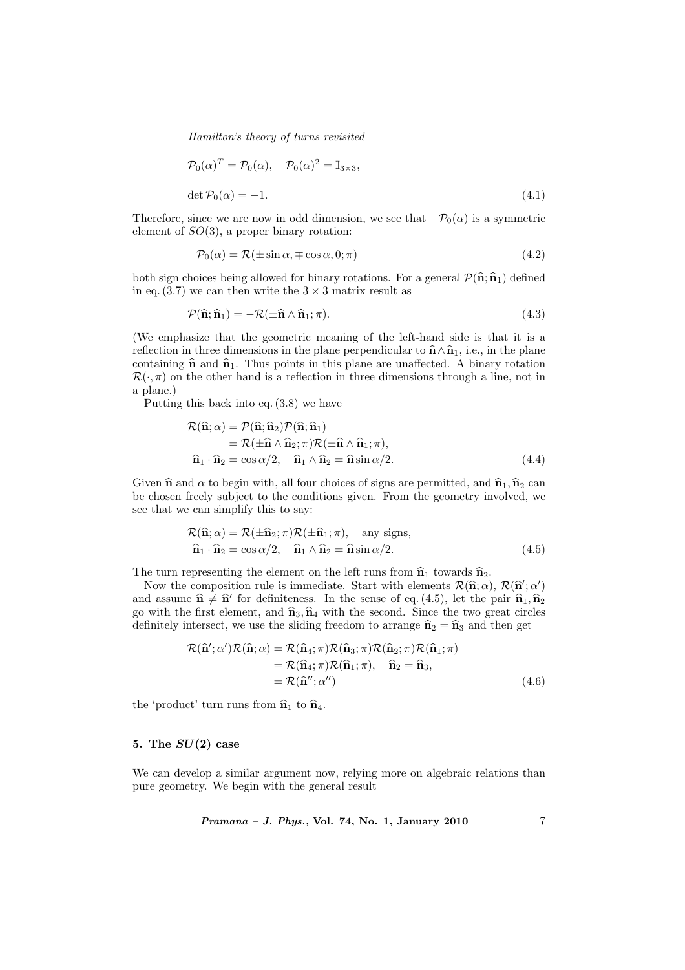$$
\mathcal{P}_0(\alpha)^T = \mathcal{P}_0(\alpha), \quad \mathcal{P}_0(\alpha)^2 = \mathbb{I}_{3 \times 3},
$$
  
det  $\mathcal{P}_0(\alpha) = -1.$  (4.1)

Therefore, since we are now in odd dimension, we see that  $-\mathcal{P}_0(\alpha)$  is a symmetric element of  $SO(3)$ , a proper binary rotation:

$$
-\mathcal{P}_0(\alpha) = \mathcal{R}(\pm \sin \alpha, \mp \cos \alpha, 0; \pi)
$$
\n(4.2)

both sign choices being allowed for binary rotations. For a general  $\mathcal{P}(\hat{\mathbf{n}}; \hat{\mathbf{n}}_1)$  defined in eq.  $(3.7)$  we can then write the  $3 \times 3$  matrix result as

$$
\mathcal{P}(\hat{\mathbf{n}}; \hat{\mathbf{n}}_1) = -\mathcal{R}(\pm \hat{\mathbf{n}} \wedge \hat{\mathbf{n}}_1; \pi). \tag{4.3}
$$

(We emphasize that the geometric meaning of the left-hand side is that it is a reflection in three dimensions in the plane perpendicular to  $\hat{\mathbf{n}} \wedge \hat{\mathbf{n}}_1$ , i.e., in the plane containing  $\hat{\mathbf{n}}$  and  $\hat{\mathbf{n}}_1$ . Thus points in this plane are unaffected. A binary rotation  $\mathcal{R}(\cdot, \pi)$  on the other hand is a reflection in three dimensions through a line, not in a plane.)

Putting this back into eq. (3.8) we have

$$
\mathcal{R}(\hat{\mathbf{n}};\alpha) = \mathcal{P}(\hat{\mathbf{n}};\hat{\mathbf{n}}_2)\mathcal{P}(\hat{\mathbf{n}};\hat{\mathbf{n}}_1) \n= \mathcal{R}(\pm \hat{\mathbf{n}} \wedge \hat{\mathbf{n}}_2;\pi)\mathcal{R}(\pm \hat{\mathbf{n}} \wedge \hat{\mathbf{n}}_1;\pi), \n\hat{\mathbf{n}}_1 \cdot \hat{\mathbf{n}}_2 = \cos \alpha/2, \quad \hat{\mathbf{n}}_1 \wedge \hat{\mathbf{n}}_2 = \hat{\mathbf{n}} \sin \alpha/2.
$$
\n(4.4)

Given  $\hat{\mathbf{n}}$  and  $\alpha$  to begin with, all four choices of signs are permitted, and  $\hat{\mathbf{n}}_1, \hat{\mathbf{n}}_2$  can be chosen freely subject to the conditions given. From the geometry involved, we see that we can simplify this to say:

$$
\mathcal{R}(\hat{\mathbf{n}};\alpha) = \mathcal{R}(\pm \hat{\mathbf{n}}_2;\pi)\mathcal{R}(\pm \hat{\mathbf{n}}_1;\pi), \text{ any signs,}
$$
  

$$
\hat{\mathbf{n}}_1 \cdot \hat{\mathbf{n}}_2 = \cos \alpha/2, \quad \hat{\mathbf{n}}_1 \wedge \hat{\mathbf{n}}_2 = \hat{\mathbf{n}} \sin \alpha/2.
$$
 (4.5)

The turn representing the element on the left runs from  $\hat{\mathbf{n}}_1$  towards  $\hat{\mathbf{n}}_2$ .

Now the composition rule is immediate. Start with elements  $\mathcal{R}(\hat{\mathbf{n}}; \alpha)$ ,  $\mathcal{R}(\hat{\mathbf{n}}'; \alpha')$ and assume  $\hat{\mathbf{n}} \neq \hat{\mathbf{n}}'$  for definiteness. In the sense of eq. (4.5), let the pair  $\hat{\mathbf{n}}_1, \hat{\mathbf{n}}_2$ go with the first element, and  $\hat{\mathbf{n}}_3, \hat{\mathbf{n}}_4$  with the second. Since the two great circles definitely intersect, we use the sliding freedom to arrange  $\hat{\mathbf{n}}_2 = \hat{\mathbf{n}}_3$  and then get

$$
\mathcal{R}(\hat{\mathbf{n}}'; \alpha')\mathcal{R}(\hat{\mathbf{n}}; \alpha) = \mathcal{R}(\hat{\mathbf{n}}_4; \pi)\mathcal{R}(\hat{\mathbf{n}}_3; \pi)\mathcal{R}(\hat{\mathbf{n}}_2; \pi)\mathcal{R}(\hat{\mathbf{n}}_1; \pi) \n= \mathcal{R}(\hat{\mathbf{n}}_4; \pi)\mathcal{R}(\hat{\mathbf{n}}_1; \pi), \quad \hat{\mathbf{n}}_2 = \hat{\mathbf{n}}_3, \n= \mathcal{R}(\hat{\mathbf{n}}''; \alpha'')
$$
\n(4.6)

the 'product' turn runs from  $\hat{\mathbf{n}}_1$  to  $\hat{\mathbf{n}}_4$ .

# 5. The  $SU(2)$  case

We can develop a similar argument now, relying more on algebraic relations than pure geometry. We begin with the general result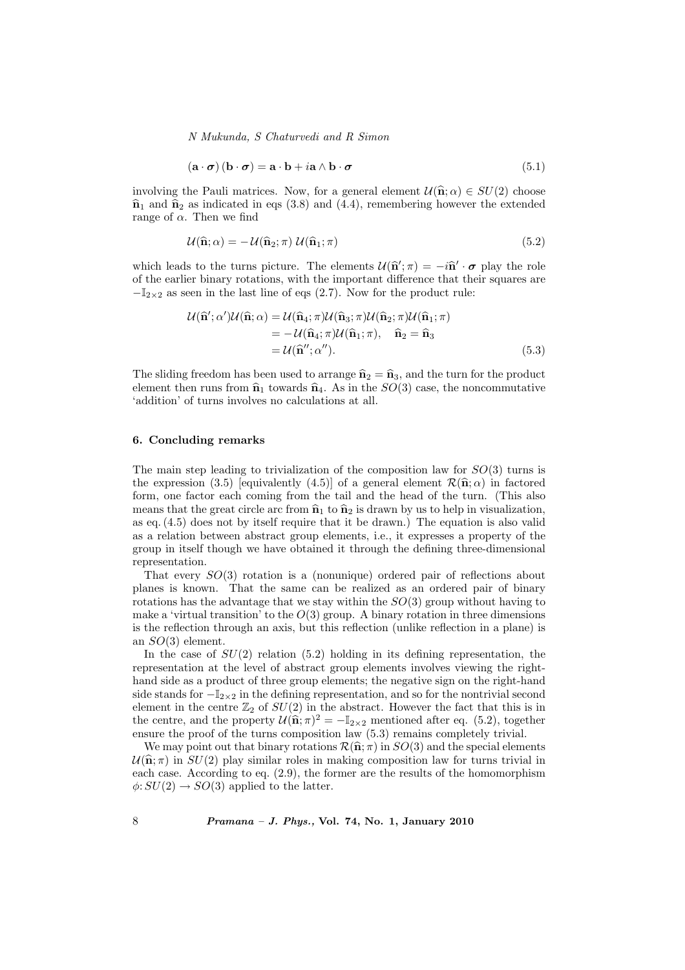$$
(\mathbf{a} \cdot \boldsymbol{\sigma}) (\mathbf{b} \cdot \boldsymbol{\sigma}) = \mathbf{a} \cdot \mathbf{b} + i\mathbf{a} \wedge \mathbf{b} \cdot \boldsymbol{\sigma}
$$
 (5.1)

involving the Pauli matrices. Now, for a general element  $\mathcal{U}(\hat{\mathbf{n}}; \alpha) \in SU(2)$  choose  $\hat{\mathbf{n}}_1$  and  $\hat{\mathbf{n}}_2$  as indicated in eqs (3.8) and (4.4), remembering however the extended range of  $\alpha$ . Then we find

$$
\mathcal{U}(\hat{\mathbf{n}};\alpha) = -\mathcal{U}(\hat{\mathbf{n}}_2;\pi)\ \mathcal{U}(\hat{\mathbf{n}}_1;\pi) \tag{5.2}
$$

which leads to the turns picture. The elements  $\mathcal{U}(\hat{\mathbf{n}}';\pi) = -i\hat{\mathbf{n}}'\cdot\sigma$  play the role of the earlier binary rotations, with the important difference that their squares are  $-\mathbb{I}_{2\times 2}$  as seen in the last line of eqs (2.7). Now for the product rule:

$$
\mathcal{U}(\hat{\mathbf{n}}'; \alpha')\mathcal{U}(\hat{\mathbf{n}}; \alpha) = \mathcal{U}(\hat{\mathbf{n}}_4; \pi)\mathcal{U}(\hat{\mathbf{n}}_3; \pi)\mathcal{U}(\hat{\mathbf{n}}_2; \pi)\mathcal{U}(\hat{\mathbf{n}}_1; \pi) \n= -\mathcal{U}(\hat{\mathbf{n}}_4; \pi)\mathcal{U}(\hat{\mathbf{n}}_1; \pi), \quad \hat{\mathbf{n}}_2 = \hat{\mathbf{n}}_3 \n= \mathcal{U}(\hat{\mathbf{n}}'; \alpha'').
$$
\n(5.3)

The sliding freedom has been used to arrange  $\hat{\mathbf{n}}_2 = \hat{\mathbf{n}}_3$ , and the turn for the product element then runs from  $\hat{\mathbf{n}}_1$  towards  $\hat{\mathbf{n}}_4$ . As in the  $SO(3)$  case, the noncommutative 'addition' of turns involves no calculations at all.

### 6. Concluding remarks

The main step leading to trivialization of the composition law for  $SO(3)$  turns is the expression (3.5) [equivalently (4.5)] of a general element  $\mathcal{R}(\hat{\mathbf{n}}; \alpha)$  in factored form, one factor each coming from the tail and the head of the turn. (This also means that the great circle arc from  $\hat{\mathbf{n}}_1$  to  $\hat{\mathbf{n}}_2$  is drawn by us to help in visualization, as eq. (4.5) does not by itself require that it be drawn.) The equation is also valid as a relation between abstract group elements, i.e., it expresses a property of the group in itself though we have obtained it through the defining three-dimensional representation.

That every  $SO(3)$  rotation is a (nonunique) ordered pair of reflections about planes is known. That the same can be realized as an ordered pair of binary rotations has the advantage that we stay within the  $SO(3)$  group without having to make a 'virtual transition' to the  $O(3)$  group. A binary rotation in three dimensions is the reflection through an axis, but this reflection (unlike reflection in a plane) is an SO(3) element.

In the case of  $SU(2)$  relation (5.2) holding in its defining representation, the representation at the level of abstract group elements involves viewing the righthand side as a product of three group elements; the negative sign on the right-hand side stands for  $-\mathbb{I}_{2\times 2}$  in the defining representation, and so for the nontrivial second element in the centre  $\mathbb{Z}_2$  of  $SU(2)$  in the abstract. However the fact that this is in the centre, and the property  $\mathcal{U}(\hat{\mathbf{n}}; \pi)^2 = -\mathbb{I}_{2\times 2}$  mentioned after eq. (5.2), together ensure the proof of the turns composition law (5.3) remains completely trivial.

We may point out that binary rotations  $\mathcal{R}(\hat{\mathbf{n}}; \pi)$  in  $SO(3)$  and the special elements  $\mathcal{U}(\hat{\mathbf{n}}; \pi)$  in  $SU(2)$  play similar roles in making composition law for turns trivial in each case. According to eq. (2.9), the former are the results of the homomorphism  $\phi: SU(2) \rightarrow SO(3)$  applied to the latter.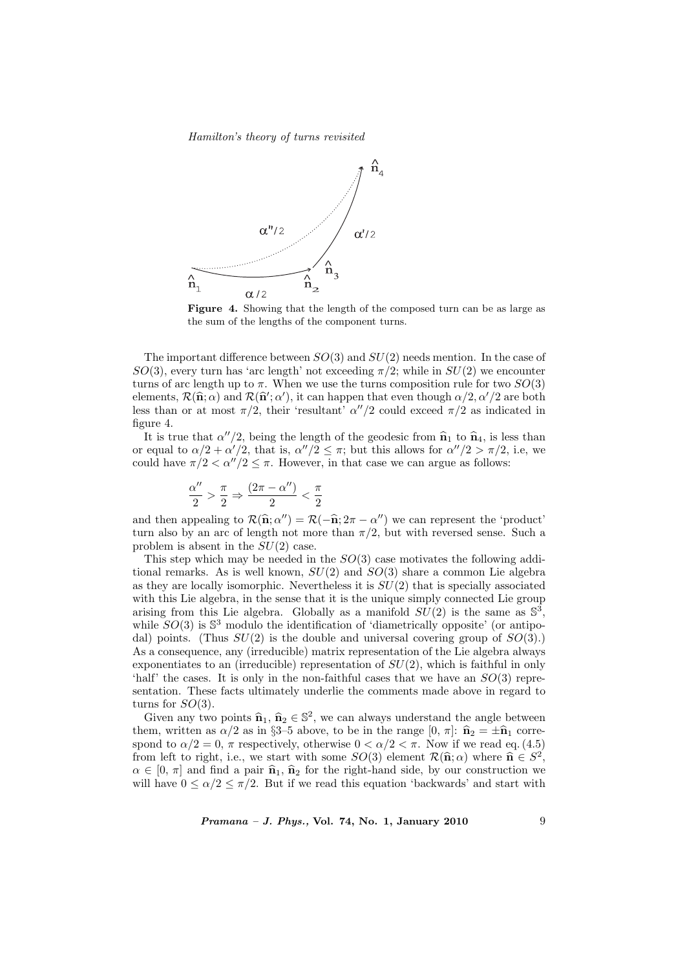

Figure 4. Showing that the length of the composed turn can be as large as the sum of the lengths of the component turns.

The important difference between  $SO(3)$  and  $SU(2)$  needs mention. In the case of  $SO(3)$ , every turn has 'arc length' not exceeding  $\pi/2$ ; while in  $SU(2)$  we encounter turns of arc length up to  $\pi$ . When we use the turns composition rule for two  $SO(3)$ elements,  $\mathcal{R}(\hat{\mathbf{n}}; \alpha)$  and  $\mathcal{R}(\hat{\mathbf{n}}'; \alpha')$ , it can happen that even though  $\alpha/2, \alpha'/2$  are both less than or at most  $\pi/2$ , their 'resultant'  $\alpha''/2$  could exceed  $\pi/2$  as indicated in figure 4.

It is true that  $\alpha''/2$ , being the length of the geodesic from  $\hat{\mathbf{n}}_1$  to  $\hat{\mathbf{n}}_4$ , is less than or equal to  $\alpha/2 + \alpha'/2$ , that is,  $\alpha''/2 \leq \pi$ ; but this allows for  $\alpha''/2 > \pi/2$ , i.e, we could have  $\pi/2 < \alpha''/2 \leq \pi$ . However, in that case we can argue as follows:

$$
\frac{\alpha''}{2}>\frac{\pi}{2}\Rightarrow\frac{(2\pi-\alpha'')}{2}<\frac{\pi}{2}
$$

and then appealing to  $\mathcal{R}(\hat{\mathbf{n}}; \alpha'') = \mathcal{R}(-\hat{\mathbf{n}}; 2\pi - \alpha'')$  we can represent the 'product' turn also by an arc of length not more than  $\pi/2$ , but with reversed sense. Such a problem is absent in the  $SU(2)$  case.

This step which may be needed in the  $SO(3)$  case motivates the following additional remarks. As is well known,  $SU(2)$  and  $SO(3)$  share a common Lie algebra as they are locally isomorphic. Nevertheless it is  $SU(2)$  that is specially associated with this Lie algebra, in the sense that it is the unique simply connected Lie group arising from this Lie algebra. Globally as a manifold  $SU(2)$  is the same as  $\mathbb{S}^3$ , while  $SO(3)$  is  $\mathbb{S}^3$  modulo the identification of 'diametrically opposite' (or antipodal) points. (Thus  $SU(2)$  is the double and universal covering group of  $SO(3)$ .) As a consequence, any (irreducible) matrix representation of the Lie algebra always exponentiates to an (irreducible) representation of  $SU(2)$ , which is faithful in only 'half' the cases. It is only in the non-faithful cases that we have an  $SO(3)$  representation. These facts ultimately underlie the comments made above in regard to turns for  $SO(3)$ .

Given any two points  $\hat{\mathbf{n}}_1, \hat{\mathbf{n}}_2 \in \mathbb{S}^2$ , we can always understand the angle between them, written as  $\alpha/2$  as in §3–5 above, to be in the range  $[0, \pi]$ :  $\hat{\mathbf{n}}_2 = \pm \hat{\mathbf{n}}_1$  correspond to  $\alpha/2 = 0$ ,  $\pi$  respectively, otherwise  $0 < \alpha/2 < \pi$ . Now if we read eq. (4.5) from left to right, i.e., we start with some  $SO(3)$  element  $\mathcal{R}(\hat{\mathbf{n}}; \alpha)$  where  $\hat{\mathbf{n}} \in S^2$ ,  $\alpha \in [0, \pi]$  and find a pair  $\hat{\mathbf{n}}_1$ ,  $\hat{\mathbf{n}}_2$  for the right-hand side, by our construction we will have  $0 \le \alpha/2 \le \pi/2$ . But if we read this equation 'backwards' and start with